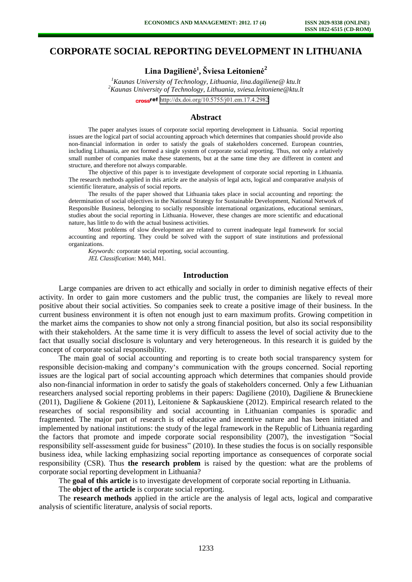# **CORPORATE SOCIAL REPORTING DEVELOPMENT IN LITHUANIA**

**Lina Dagilienė<sup>1</sup> , Šviesa Leitonienė<sup>2</sup>**

*<sup>1</sup>Kaunas University of Technology, Lithuania, lina.dagiliene@ ktu.lt <sup>2</sup>Kaunas University of Technology, Lithuania, sviesa.leitoniene@ktu.lt* 

cross<sup>ref</sup> [http://dx.doi.org/10.5755/j01.em.17.4.2](http://dx.doi.org/10.5755/j01.em.17.4.2982)982

#### **Abstract**

The paper analyses issues of corporate social reporting development in Lithuania. Social reporting issues are the logical part of social accounting approach which determines that companies should provide also non-financial information in order to satisfy the goals of stakeholders concerned. European countries, including Lithuania, are not formed a single system of corporate social reporting. Thus, not only a relatively small number of companies make these statements, but at the same time they are different in content and structure, and therefore not always comparable.

The objective of this paper is to investigate development of corporate social reporting in Lithuania. The research methods applied in this article are the analysis of legal acts, logical and comparative analysis of scientific literature, analysis of social reports.

The results of the paper showed that Lithuania takes place in social accounting and reporting: the determination of social objectives in the National Strategy for Sustainable Development, National Network of Responsible Business, belonging to socially responsible international organizations, educational seminars, studies about the social reporting in Lithuania. However, these changes are more scientific and educational nature, has little to do with the actual business activities.

Most problems of slow development are related to current inadequate legal framework for social accounting and reporting. They could be solved with the support of state institutions and professional organizations.

*Keywords:* corporate social reporting, social accounting. *JEL Classification*: M40, M41.

#### **Introduction**

Large companies are driven to act ethically and socially in order to diminish negative effects of their activity. In order to gain more customers and the public trust, the companies are likely to reveal more positive about their social activities. So companies seek to create a positive image of their business. In the current business environment it is often not enough just to earn maximum profits. Growing competition in the market aims the companies to show not only a strong financial position, but also its social responsibility with their stakeholders. At the same time it is very difficult to assess the level of social activity due to the fact that usually social disclosure is voluntary and very heterogeneous. In this research it is guided by the concept of corporate social responsibility.

The main goal of social accounting and reporting is to create both social transparency system for responsible decision-making and company's communication with the groups concerned. Social reporting issues are the logical part of social accounting approach which determines that companies should provide also non-financial information in order to satisfy the goals of stakeholders concerned. Only a few Lithuanian researchers analysed social reporting problems in their papers: Dagiliene (2010), Dagiliene & Bruneckiene (2011), Dagiliene & Gokiene (2011), Leitoniene & Sapkauskiene (2012). Empirical research related to the researches of social responsibility and social accounting in Lithuanian companies is sporadic and fragmented. The major part of research is of educative and incentive nature and has been initiated and implemented by national institutions: the study of the legal framework in the Republic of Lithuania regarding the factors that promote and impede corporate social responsibility (2007), the investigation "Social responsibility self-assessment guide for business" (2010). In these studies the focus is on socially responsible business idea, while lacking emphasizing social reporting importance as consequences of corporate social responsibility (CSR). Thus **the research problem** is raised by the question: what are the problems of corporate social reporting development in Lithuania?

The **goal of this article** is to investigate development of corporate social reporting in Lithuania.

The **object of the article** is corporate social reporting.

The **research methods** applied in the article are the analysis of legal acts, logical and comparative analysis of scientific literature, analysis of social reports.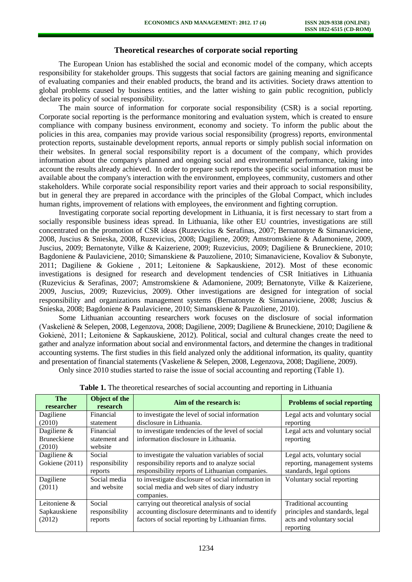# **Theoretical researches of corporate social reporting**

The European Union has established the social and economic model of the company, which accepts responsibility for stakeholder groups. This suggests that social factors are gaining meaning and significance of evaluating companies and their enabled products, the brand and its activities. Society draws attention to global problems caused by business entities, and the latter wishing to gain public recognition, publicly declare its policy of social responsibility.

The main source of information for corporate social responsibility (CSR) is a social reporting. Corporate social reporting is the performance monitoring and evaluation system, which is created to ensure compliance with company business environment, economy and society. To inform the public about the policies in this area, companies may provide various social responsibility (progress) reports, environmental protection reports, sustainable development reports, annual reports or simply publish social information on their websites. In general social responsibility report is a document of the company, which provides information about the company's planned and ongoing social and environmental performance, taking into account the results already achieved. In order to prepare such reports the specific social information must be available about the company's interaction with the environment, employees, community, customers and other stakeholders. While corporate social responsibility report varies and their approach to social responsibility, but in general they are prepared in accordance with the principles of the Global Compact, which includes human rights, improvement of relations with employees, the environment and fighting corruption.

Investigating corporate social reporting development in Lithuania, it is first necessary to start from a socially responsible business ideas spread. In Lithuania, like other EU countries, investigations are still concentrated on the promotion of CSR ideas (Ruzevicius & Serafinas, 2007; Bernatonyte & Simanaviciene, 2008, Juscius & Snieska, 2008, Ruzevicius, 2008; Dagiliene, 2009; Amstromskiene & Adamoniene, 2009, Juscius, 2009; Bernatonyte, Vilke & Kaizeriene, 2009; Ruzevicius, 2009; Dagiliene & Bruneckiene, 2010; Bagdoniene & Paulaviciene, 2010; Simanskiene & Pauzoliene, 2010; Simanaviciene, Kovaliov & Subonyte, 2011; Dagiliene & Gokiene , 2011; Leitoniene & Sapkauskiene, 2012). Most of these economic investigations is designed for research and development tendencies of CSR Initiatives in Lithuania (Ruzevicius & Serafinas, 2007; Amstromskiene & Adamoniene, 2009; Bernatonyte, Vilke & Kaizeriene, 2009, Juscius, 2009; Ruzevicius, 2009). Other investigations are designed for integration of social responsibility and organizations management systems (Bernatonyte & Simanaviciene, 2008; Juscius & Snieska, 2008; Bagdoniene & Paulaviciene, 2010; Simanskiene & Pauzoliene, 2010).

Some Lithuanian accounting researchers work focuses on the disclosure of social information (Vaskelienė & Selepen, 2008, Legenzova, 2008; Dagiliene, 2009; Dagiliene & Bruneckiene, 2010; Dagiliene & Gokienė, 2011; Leitoniene & Sapkauskiene, 2012). Political, social and cultural changes create the need to gather and analyze information about social and environmental factors, and determine the changes in traditional accounting systems. The first studies in this field analyzed only the additional information, its quality, quantity and presentation of financial statements (Vaskeliene & Selepen, 2008, Legenzova, 2008; Dagiliene, 2009).

Only since 2010 studies started to raise the issue of social accounting and reporting (Table 1).

| <b>The</b><br>researcher | Object of the<br>research | Aim of the research is:                            | <b>Problems of social reporting</b> |
|--------------------------|---------------------------|----------------------------------------------------|-------------------------------------|
| Dagiliene                | Financial                 | to investigate the level of social information     | Legal acts and voluntary social     |
| (2010)                   | statement                 | disclosure in Lithuania.                           | reporting                           |
| Dagiliene &              | Financial                 | to investigate tendencies of the level of social   | Legal acts and voluntary social     |
| <b>Bruneckiene</b>       | statement and             | information disclosure in Lithuania.               | reporting                           |
| (2010)                   | website                   |                                                    |                                     |
| Dagiliene $\&$           | Social                    | to investigate the valuation variables of social   | Legal acts, voluntary social        |
| Gokiene (2011)           | responsibility            | responsibility reports and to analyze social       | reporting, management systems       |
|                          | reports                   | responsibility reports of Lithuanian companies.    | standards, legal options            |
| Dagiliene                | Social media              | to investigate disclosure of social information in | Voluntary social reporting          |
| (2011)                   | and website               | social media and web sites of diary industry       |                                     |
|                          |                           | companies.                                         |                                     |
| Leitoniene &             | Social                    | carrying out theoretical analysis of social        | Traditional accounting              |
| Sapkauskiene             | responsibility            | accounting disclosure determinants and to identify | principles and standards, legal     |
| (2012)                   | reports                   | factors of social reporting by Lithuanian firms.   | acts and voluntary social           |
|                          |                           |                                                    | reporting                           |

**Table 1.** The theoretical researches of social accounting and reporting in Lithuania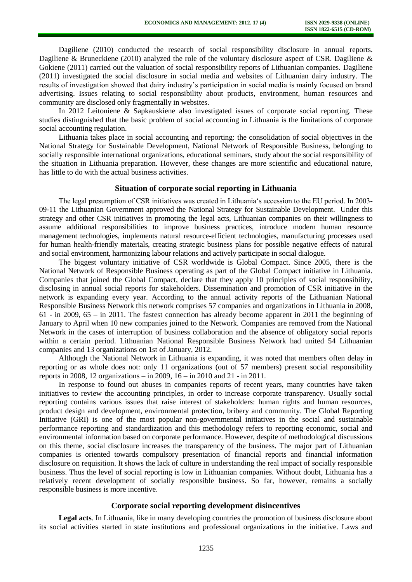Dagiliene (2010) conducted the research of social responsibility disclosure in annual reports. Dagiliene & Bruneckiene (2010) analyzed the role of the voluntary disclosure aspect of CSR. Dagiliene & Gokiene (2011) carried out the valuation of social responsibility reports of Lithuanian companies. Dagiliene (2011) investigated the social disclosure in social media and websites of Lithuanian dairy industry. The results of investigation showed that dairy industry's participation in social media is mainly focused on brand advertising. Issues relating to social responsibility about products, environment, human resources and community are disclosed only fragmentally in websites.

In 2012 Leitoniene & Sapkauskiene also investigated issues of corporate social reporting. These studies distinguished that the basic problem of social accounting in Lithuania is the limitations of corporate social accounting regulation.

Lithuania takes place in social accounting and reporting: the consolidation of social objectives in the National Strategy for Sustainable Development, National Network of Responsible Business, belonging to socially responsible international organizations, educational seminars, study about the social responsibility of the situation in Lithuania preparation. However, these changes are more scientific and educational nature, has little to do with the actual business activities.

#### **Situation of corporate social reporting in Lithuania**

The legal presumption of CSR initiatives was created in Lithuania's accession to the EU period. In 2003- 09-11 the Lithuanian Government approved the National Strategy for Sustainable Development. Under this strategy and other CSR initiatives in promoting the legal acts, Lithuanian companies on their willingness to assume additional responsibilities to improve business practices, introduce modern human resource management technologies, implements natural resource-efficient technologies, manufacturing processes used for human health-friendly materials, creating strategic business plans for possible negative effects of natural and social environment, harmonizing labour relations and actively participate in social dialogue.

The biggest voluntary initiative of CSR worldwide is Global Compact. Since 2005, there is the National Network of Responsible Business operating as part of the Global Compact initiative in Lithuania. Companies that joined the Global Compact, declare that they apply 10 principles of social responsibility, disclosing in annual social reports for stakeholders. Dissemination and promotion of CSR initiative in the network is expanding every year. According to the annual activity reports of the Lithuanian National Responsible Business Network this network comprises 57 companies and organizations in Lithuania in 2008, 61 - in 2009, 65 – in 2011. The fastest connection has already become apparent in 2011 the beginning of January to April when 10 new companies joined to the Network. Companies are removed from the National Network in the cases of interruption of business collaboration and the absence of obligatory social reports within a certain period. Lithuanian National Responsible Business Network had united 54 Lithuanian companies and 13 organizations on 1st of January, 2012.

Although the National Network in Lithuania is expanding, it was noted that members often delay in reporting or as whole does not: only 11 organizations (out of 57 members) present social responsibility reports in 2008, 12 organizations – in 2009, 16 – in 2010 and 21 - in 2011.

In response to found out abuses in companies reports of recent years, many countries have taken initiatives to review the accounting principles, in order to increase corporate transparency. Usually social reporting contains various issues that raise interest of stakeholders: human rights and human resources, product design and development, environmental protection, bribery and community. The Global Reporting Initiative (GRI) is one of the most popular non-governmental initiatives in the social and sustainable performance reporting and standardization and this methodology refers to reporting economic, social and environmental information based on corporate performance. However, despite of methodological discussions on this theme, social disclosure increases the transparency of the business. The major part of Lithuanian companies is oriented towards compulsory presentation of financial reports and financial information disclosure on requisition. It shows the lack of culture in understanding the real impact of socially responsible business. Thus the level of social reporting is low in Lithuanian companies. Without doubt, Lithuania has a relatively recent development of socially responsible business. So far, however, remains a socially responsible business is more incentive.

## **Corporate social reporting development disincentives**

**Legal acts**. In Lithuania, like in many developing countries the promotion of business disclosure about its social activities started in state institutions and professional organizations in the initiative. Laws and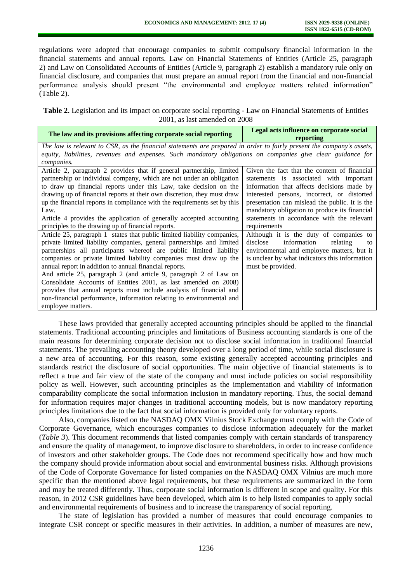regulations were adopted that encourage companies to submit compulsory financial information in the financial statements and annual reports. Law on Financial Statements of Entities (Article 25, paragraph 2) and Law on Consolidated Accounts of Entities (Article 9, paragraph 2) establish a mandatory rule only on financial disclosure, and companies that must prepare an annual report from the financial and non-financial performance analysis should present "the environmental and employee matters related information" (Table 2).

**Table 2.** Legislation and its impact on corporate social reporting - Law on Financial Statements of Entities 2001, as last amended on 2008

| The law and its provisions affecting corporate social reporting                                                       | Legal acts influence on corporate social<br>reporting |
|-----------------------------------------------------------------------------------------------------------------------|-------------------------------------------------------|
| The law is relevant to CSR, as the financial statements are prepared in order to fairly present the company's assets, |                                                       |
| equity, liabilities, revenues and expenses. Such mandatory obligations on companies give clear guidance for           |                                                       |
| companies.                                                                                                            |                                                       |
| Article 2, paragraph 2 provides that if general partnership, limited                                                  | Given the fact that the content of financial          |
| partnership or individual company, which are not under an obligation                                                  | statements is associated with important               |
| to draw up financial reports under this Law, take decision on the                                                     | information that affects decisions made by            |
| drawing up of financial reports at their own discretion, they must draw                                               | interested persons, incorrect, or distorted           |
| up the financial reports in compliance with the requirements set by this                                              | presentation can mislead the public. It is the        |
| Law.                                                                                                                  | mandatory obligation to produce its financial         |
| Article 4 provides the application of generally accepted accounting                                                   | statements in accordance with the relevant            |
| principles to the drawing up of financial reports.                                                                    | requirements                                          |
| Article 25, paragraph 1 states that public limited liability companies,                                               | Although it is the duty of companies to               |
| private limited liability companies, general partnerships and limited                                                 | information<br>relating<br>disclose<br>to             |
| partnerships all participants whereof are public limited liability                                                    | environmental and employee matters, but it            |
| companies or private limited liability companies must draw up the                                                     | is unclear by what indicators this information        |
| annual report in addition to annual financial reports.                                                                | must be provided.                                     |
| And article 25, paragraph 2 (and article 9, paragraph 2 of Law on                                                     |                                                       |
| Consolidate Accounts of Entities 2001, as last amended on 2008)                                                       |                                                       |
| provides that annual reports must include analysis of financial and                                                   |                                                       |
| non-financial performance, information relating to environmental and                                                  |                                                       |
| employee matters.                                                                                                     |                                                       |

These laws provided that generally accepted accounting principles should be applied to the financial statements. Traditional accounting principles and limitations of Business accounting standards is one of the main reasons for determining corporate decision not to disclose social information in traditional financial statements. The prevailing accounting theory developed over a long period of time, while social disclosure is a new area of accounting. For this reason, some existing generally accepted accounting principles and standards restrict the disclosure of social opportunities. The main objective of financial statements is to reflect a true and fair view of the state of the company and must include policies on social responsibility policy as well. However, such accounting principles as the implementation and viability of information comparability complicate the social information inclusion in mandatory reporting. Thus, the social demand for information requires major changes in traditional accounting models, but is now mandatory reporting principles limitations due to the fact that social information is provided only for voluntary reports.

Also, companies listed on the NASDAQ OMX Vilnius Stock Exchange must comply with the Code of Corporate Governance, which encourages companies to disclose information adequately for the market (*Table 3*). This document recommends that listed companies comply with certain standards of transparency and ensure the quality of management, to improve disclosure to shareholders, in order to increase confidence of investors and other stakeholder groups. The Code does not recommend specifically how and how much the company should provide information about social and environmental business risks. Although provisions of the Code of Corporate Governance for listed companies on the NASDAQ OMX Vilnius are much more specific than the mentioned above legal requirements, but these requirements are summarized in the form and may be treated differently. Thus, corporate social information is different in scope and quality. For this reason, in 2012 CSR guidelines have been developed, which aim is to help listed companies to apply social and environmental requirements of business and to increase the transparency of social reporting.

The state of legislation has provided a number of measures that could encourage companies to integrate CSR concept or specific measures in their activities. In addition, a number of measures are new,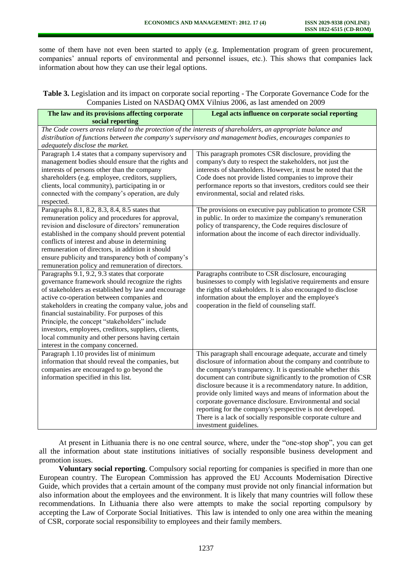some of them have not even been started to apply (e.g. Implementation program of green procurement, companies' annual reports of environmental and personnel issues, etc.). This shows that companies lack information about how they can use their legal options.

| Table 3. Legislation and its impact on corporate social reporting - The Corporate Governance Code for the |  |
|-----------------------------------------------------------------------------------------------------------|--|
| Companies Listed on NASDAQ OMX Vilnius 2006, as last amended on 2009                                      |  |

| The law and its provisions affecting corporate<br>social reporting                                                                                                                                                                                                                                                                                                                                                                                                                                                  | Legal acts influence on corporate social reporting                                                                                                                                                                                                                                                                                                                                                                                                                                                                                                                                                                   |
|---------------------------------------------------------------------------------------------------------------------------------------------------------------------------------------------------------------------------------------------------------------------------------------------------------------------------------------------------------------------------------------------------------------------------------------------------------------------------------------------------------------------|----------------------------------------------------------------------------------------------------------------------------------------------------------------------------------------------------------------------------------------------------------------------------------------------------------------------------------------------------------------------------------------------------------------------------------------------------------------------------------------------------------------------------------------------------------------------------------------------------------------------|
| The Code covers areas related to the protection of the interests of shareholders, an appropriate balance and<br>adequately disclose the market.                                                                                                                                                                                                                                                                                                                                                                     | distribution of functions between the company's supervisory and management bodies, encourages companies to                                                                                                                                                                                                                                                                                                                                                                                                                                                                                                           |
| Paragraph 1.4 states that a company supervisory and<br>management bodies should ensure that the rights and<br>interests of persons other than the company<br>shareholders (e.g. employee, creditors, suppliers,<br>clients, local community), participating in or<br>connected with the company's operation, are duly<br>respected.                                                                                                                                                                                 | This paragraph promotes CSR disclosure, providing the<br>company's duty to respect the stakeholders, not just the<br>interests of shareholders. However, it must be noted that the<br>Code does not provide listed companies to improve their<br>performance reports so that investors, creditors could see their<br>environmental, social and related risks.                                                                                                                                                                                                                                                        |
| Paragraphs 8.1, 8.2, 8.3, 8.4, 8.5 states that<br>remuneration policy and procedures for approval,<br>revision and disclosure of directors' remuneration<br>established in the company should prevent potential<br>conflicts of interest and abuse in determining<br>remuneration of directors, in addition it should<br>ensure publicity and transparency both of company's<br>remuneration policy and remuneration of directors.                                                                                  | The provisions on executive pay publication to promote CSR<br>in public. In order to maximize the company's remuneration<br>policy of transparency, the Code requires disclosure of<br>information about the income of each director individually.                                                                                                                                                                                                                                                                                                                                                                   |
| Paragraphs 9.1, 9.2, 9.3 states that corporate<br>governance framework should recognize the rights<br>of stakeholders as established by law and encourage<br>active co-operation between companies and<br>stakeholders in creating the company value, jobs and<br>financial sustainability. For purposes of this<br>Principle, the concept "stakeholders" include<br>investors, employees, creditors, suppliers, clients,<br>local community and other persons having certain<br>interest in the company concerned. | Paragraphs contribute to CSR disclosure, encouraging<br>businesses to comply with legislative requirements and ensure<br>the rights of stakeholders. It is also encouraged to disclose<br>information about the employer and the employee's<br>cooperation in the field of counseling staff.                                                                                                                                                                                                                                                                                                                         |
| Paragraph 1.10 provides list of minimum<br>information that should reveal the companies, but<br>companies are encouraged to go beyond the<br>information specified in this list.                                                                                                                                                                                                                                                                                                                                    | This paragraph shall encourage adequate, accurate and timely<br>disclosure of information about the company and contribute to<br>the company's transparency. It is questionable whether this<br>document can contribute significantly to the promotion of CSR<br>disclosure because it is a recommendatory nature. In addition,<br>provide only limited ways and means of information about the<br>corporate governance disclosure. Environmental and social<br>reporting for the company's perspective is not developed.<br>There is a lack of socially responsible corporate culture and<br>investment guidelines. |

At present in Lithuania there is no one central source, where, under the "one-stop shop", you can get all the information about state institutions initiatives of socially responsible business development and promotion issues.

**Voluntary social reporting**. Compulsory social reporting for companies is specified in more than one European country. The European Commission has approved the EU Accounts Modernisation Directive Guide, which provides that a certain amount of the company must provide not only financial information but also information about the employees and the environment. It is likely that many countries will follow these recommendations. In Lithuania there also were attempts to make the social reporting compulsory by accepting the Law of Corporate Social Initiatives. This law is intended to only one area within the meaning of CSR, corporate social responsibility to employees and their family members.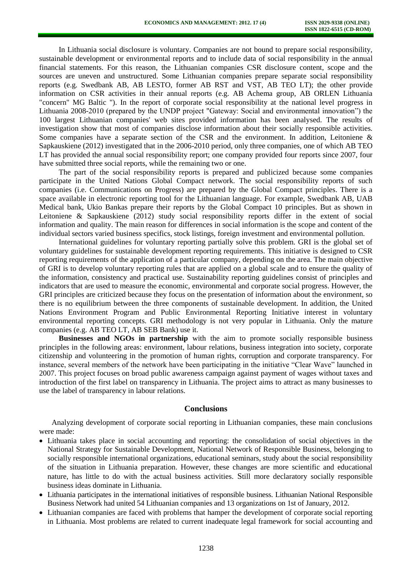In Lithuania social disclosure is voluntary. Companies are not bound to prepare social responsibility, sustainable development or environmental reports and to include data of social responsibility in the annual financial statements. For this reason, the Lithuanian companies CSR disclosure content, scope and the sources are uneven and unstructured. Some Lithuanian companies prepare separate social responsibility reports (e.g. Swedbank AB, AB LESTO, former AB RST and VST, AB TEO LT); the other provide information on CSR activities in their annual reports (e.g. AB Achema group, AB ORLEN Lithuania "concern" MG Baltic "). In the report of corporate social responsibility at the national level progress in Lithuania 2008-2010 (prepared by the UNDP project "Gateway: Social and environmental innovation") the 100 largest Lithuanian companies' web sites provided information has been analysed. The results of investigation show that most of companies disclose information about their socially responsible activities. Some companies have a separate section of the CSR and the environment. In addition, Leitoniene & Sapkauskiene (2012) investigated that in the 2006-2010 period, only three companies, one of which AB TEO LT has provided the annual social responsibility report; one company provided four reports since 2007, four have submitted three social reports, while the remaining two or one.

The part of the social responsibility reports is prepared and publicized because some companies participate in the United Nations Global Compact network. The social responsibility reports of such companies (i.e. Communications on Progress) are prepared by the Global Compact principles. There is a space available in electronic reporting tool for the Lithuanian language. For example, Swedbank AB, UAB Medical bank, Ukio Bankas prepare their reports by the Global Compact 10 principles. But as shown in Leitoniene & Sapkauskiene (2012) study social responsibility reports differ in the extent of social information and quality. The main reason for differences in social information is the scope and content of the individual sectors varied business specifics, stock listings, foreign investment and environmental pollution.

International guidelines for voluntary reporting partially solve this problem. GRI is the global set of voluntary guidelines for sustainable development reporting requirements. This initiative is designed to CSR reporting requirements of the application of a particular company, depending on the area. The main objective of GRI is to develop voluntary reporting rules that are applied on a global scale and to ensure the quality of the information, consistency and practical use. Sustainability reporting guidelines consist of principles and indicators that are used to measure the economic, environmental and corporate social progress. However, the GRI principles are criticized because they focus on the presentation of information about the environment, so there is no equilibrium between the three components of sustainable development. In addition, the United Nations Environment Program and Public Environmental Reporting Initiative interest in voluntary environmental reporting concepts. GRI methodology is not very popular in Lithuania. Only the mature companies (e.g. AB TEO LT, AB SEB Bank) use it.

**Businesses and NGOs in partnership** with the aim to promote socially responsible business principles in the following areas: environment, labour relations, business integration into society, corporate citizenship and volunteering in the promotion of human rights, corruption and corporate transparency. For instance, several members of the network have been participating in the initiative "Clear Wave" launched in 2007. This project focuses on broad public awareness campaign against payment of wages without taxes and introduction of the first label on transparency in Lithuania. The project aims to attract as many businesses to use the label of transparency in labour relations.

## **Conclusions**

Analyzing development of corporate social reporting in Lithuanian companies, these main conclusions were made:

- Lithuania takes place in social accounting and reporting: the consolidation of social objectives in the National Strategy for Sustainable Development, National Network of Responsible Business, belonging to socially responsible international organizations, educational seminars, study about the social responsibility of the situation in Lithuania preparation. However, these changes are more scientific and educational nature, has little to do with the actual business activities. Still more declaratory socially responsible business ideas dominate in Lithuania.
- Lithuania participates in the international initiatives of responsible business. Lithuanian National Responsible Business Network had united 54 Lithuanian companies and 13 organizations on 1st of January, 2012.
- Lithuanian companies are faced with problems that hamper the development of corporate social reporting in Lithuania. Most problems are related to current inadequate legal framework for social accounting and